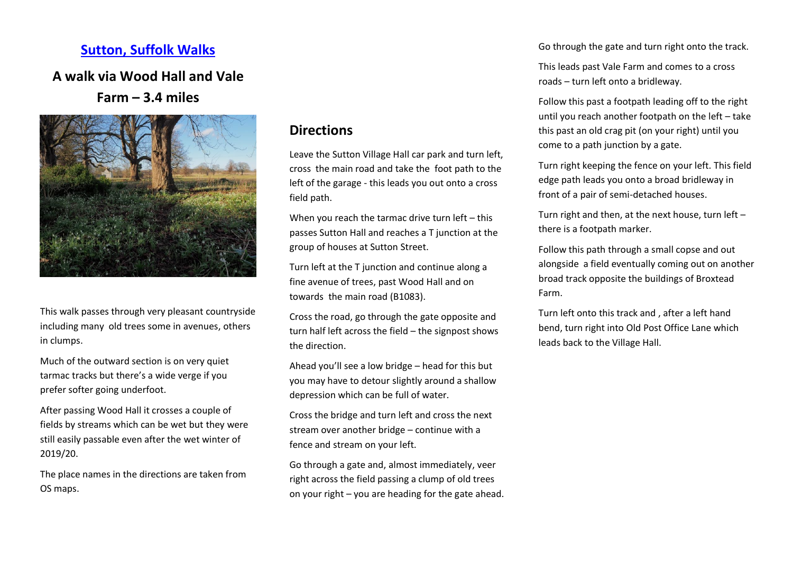## **[Sutton, Suffolk Walks](http://sutton.onesuffolk.net/walks-from-sutton/)**

## **A walk via Wood Hall and Vale**

## **Farm – 3.4 miles**



This walk passes through very pleasant countryside including many old trees some in avenues, others in clumps.

Much of the outward section is on very quiet tarmac tracks but there's a wide verge if you prefer softer going underfoot.

After passing Wood Hall it crosses a couple of fields by streams which can be wet but they were still easily passable even after the wet winter of 2019/20.

The place names in the directions are taken from OS maps.

## **Directions**

Leave the Sutton Village Hall car park and turn left, cross the main road and take the foot path to the left of the garage - this leads you out onto a cross field path.

When you reach the tarmac drive turn left – this passes Sutton Hall and reaches a T junction at the group of houses at Sutton Street.

Turn left at the T junction and continue along a fine avenue of trees, past Wood Hall and on towards the main road (B1083).

Cross the road, go through the gate opposite and turn half left across the field – the signpost shows the direction.

Ahead you'll see a low bridge – head for this but you may have to detour slightly around a shallow depression which can be full of water.

Cross the bridge and turn left and cross the next stream over another bridge – continue with a fence and stream on your left.

Go through a gate and, almost immediately, veer right across the field passing a clump of old trees on your right – you are heading for the gate ahead. Go through the gate and turn right onto the track.

This leads past Vale Farm and comes to a cross roads – turn left onto a bridleway.

Follow this past a footpath leading off to the right until you reach another footpath on the left – take this past an old crag pit (on your right) until you come to a path junction by a gate.

Turn right keeping the fence on your left. This field edge path leads you onto a broad bridleway in front of a pair of semi-detached houses.

Turn right and then, at the next house, turn left – there is a footpath marker.

Follow this path through a small copse and out alongside a field eventually coming out on another broad track opposite the buildings of Broxtead Farm.

Turn left onto this track and , after a left hand bend, turn right into Old Post Office Lane which leads back to the Village Hall.